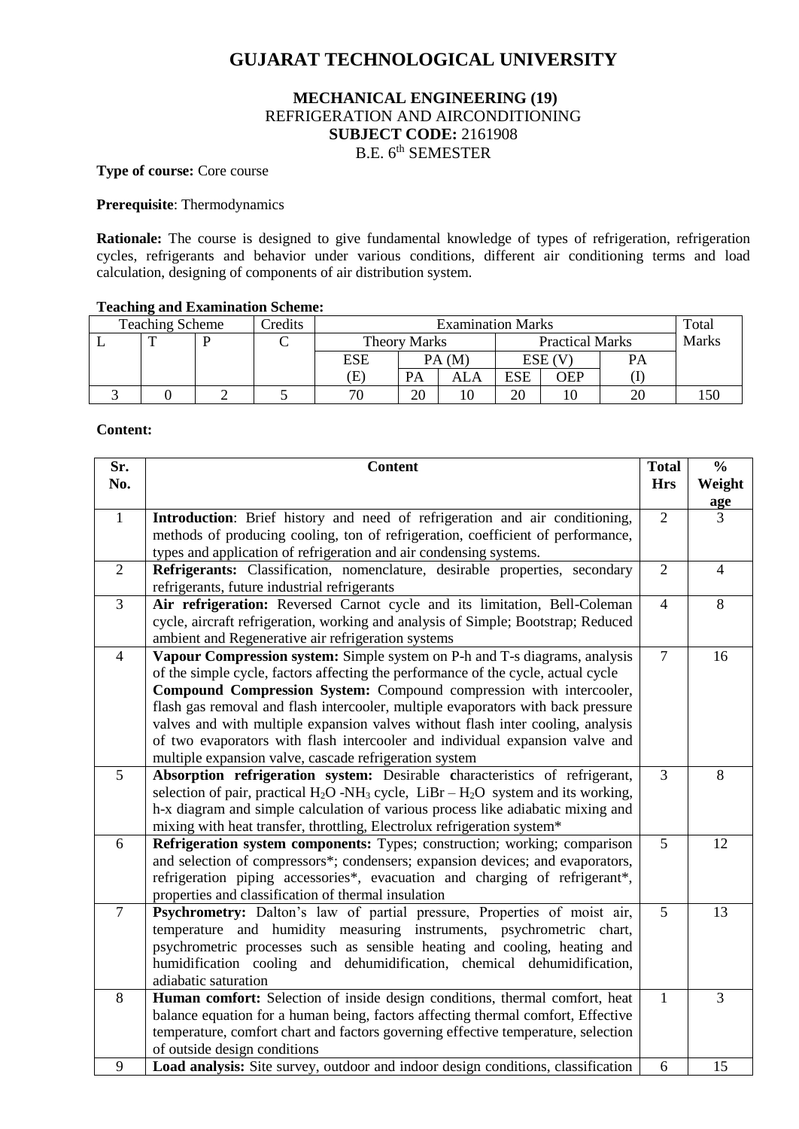# **GUJARAT TECHNOLOGICAL UNIVERSITY**

# **MECHANICAL ENGINEERING (19)** REFRIGERATION AND AIRCONDITIONING **SUBJECT CODE:** 2161908 B.E. 6<sup>th</sup> SEMESTER

## **Type of course:** Core course

## **Prerequisite**: Thermodynamics

**Rationale:** The course is designed to give fundamental knowledge of types of refrigeration, refrigeration cycles, refrigerants and behavior under various conditions, different air conditioning terms and load calculation, designing of components of air distribution system.

# **Teaching and Examination Scheme:**

| <b>Teaching Scheme</b> | redits | <b>Examination Marks</b>   |    |                        |     | Total |              |     |
|------------------------|--------|----------------------------|----|------------------------|-----|-------|--------------|-----|
|                        |        | Theory Marks               |    | <b>Practical Marks</b> |     |       | <b>Marks</b> |     |
|                        |        | ESE                        |    | PA (M                  |     | ESE ( | PA           |     |
|                        |        | $\left( \mathrm{E}\right)$ | PA | ALA                    | ESE | OEP   |              |     |
|                        |        | 70                         | 20 |                        | 20  |       |              | .50 |

#### **Content:**

| Sr.            | <b>Content</b>                                                                                    | <b>Total</b>   | $\frac{0}{0}$  |
|----------------|---------------------------------------------------------------------------------------------------|----------------|----------------|
| No.            |                                                                                                   | <b>Hrs</b>     | Weight         |
|                |                                                                                                   |                | age            |
| $\mathbf{1}$   | Introduction: Brief history and need of refrigeration and air conditioning,                       | $\overline{2}$ | 3              |
|                | methods of producing cooling, ton of refrigeration, coefficient of performance,                   |                |                |
|                | types and application of refrigeration and air condensing systems.                                |                |                |
| $\overline{2}$ | Refrigerants: Classification, nomenclature, desirable properties, secondary                       | $\overline{2}$ | $\overline{4}$ |
|                | refrigerants, future industrial refrigerants                                                      |                |                |
| 3              | Air refrigeration: Reversed Carnot cycle and its limitation, Bell-Coleman                         | $\overline{4}$ | 8              |
|                | cycle, aircraft refrigeration, working and analysis of Simple; Bootstrap; Reduced                 |                |                |
|                | ambient and Regenerative air refrigeration systems                                                |                |                |
| $\overline{4}$ | Vapour Compression system: Simple system on P-h and T-s diagrams, analysis                        | $\overline{7}$ | 16             |
|                | of the simple cycle, factors affecting the performance of the cycle, actual cycle                 |                |                |
|                | Compound Compression System: Compound compression with intercooler,                               |                |                |
|                | flash gas removal and flash intercooler, multiple evaporators with back pressure                  |                |                |
|                | valves and with multiple expansion valves without flash inter cooling, analysis                   |                |                |
|                | of two evaporators with flash intercooler and individual expansion valve and                      |                |                |
|                | multiple expansion valve, cascade refrigeration system                                            |                |                |
| 5              | Absorption refrigeration system: Desirable characteristics of refrigerant,                        | $\overline{3}$ | 8              |
|                | selection of pair, practical $H_2O$ -NH <sub>3</sub> cycle, LiBr – $H_2O$ system and its working, |                |                |
|                | h-x diagram and simple calculation of various process like adiabatic mixing and                   |                |                |
|                | mixing with heat transfer, throttling, Electrolux refrigeration system*                           |                |                |
| 6              | Refrigeration system components: Types; construction; working; comparison                         | 5              | 12             |
|                | and selection of compressors*; condensers; expansion devices; and evaporators,                    |                |                |
|                | refrigeration piping accessories*, evacuation and charging of refrigerant*,                       |                |                |
|                | properties and classification of thermal insulation                                               |                |                |
| $\overline{7}$ | Psychrometry: Dalton's law of partial pressure, Properties of moist air,                          | 5              | 13             |
|                | temperature and humidity measuring instruments, psychrometric chart,                              |                |                |
|                | psychrometric processes such as sensible heating and cooling, heating and                         |                |                |
|                | humidification cooling and dehumidification, chemical dehumidification,                           |                |                |
|                | adiabatic saturation                                                                              |                |                |
| 8              | Human comfort: Selection of inside design conditions, thermal comfort, heat                       | 1              | 3              |
|                | balance equation for a human being, factors affecting thermal comfort, Effective                  |                |                |
|                | temperature, comfort chart and factors governing effective temperature, selection                 |                |                |
|                | of outside design conditions                                                                      |                |                |
| 9              | Load analysis: Site survey, outdoor and indoor design conditions, classification                  | 6              | 15             |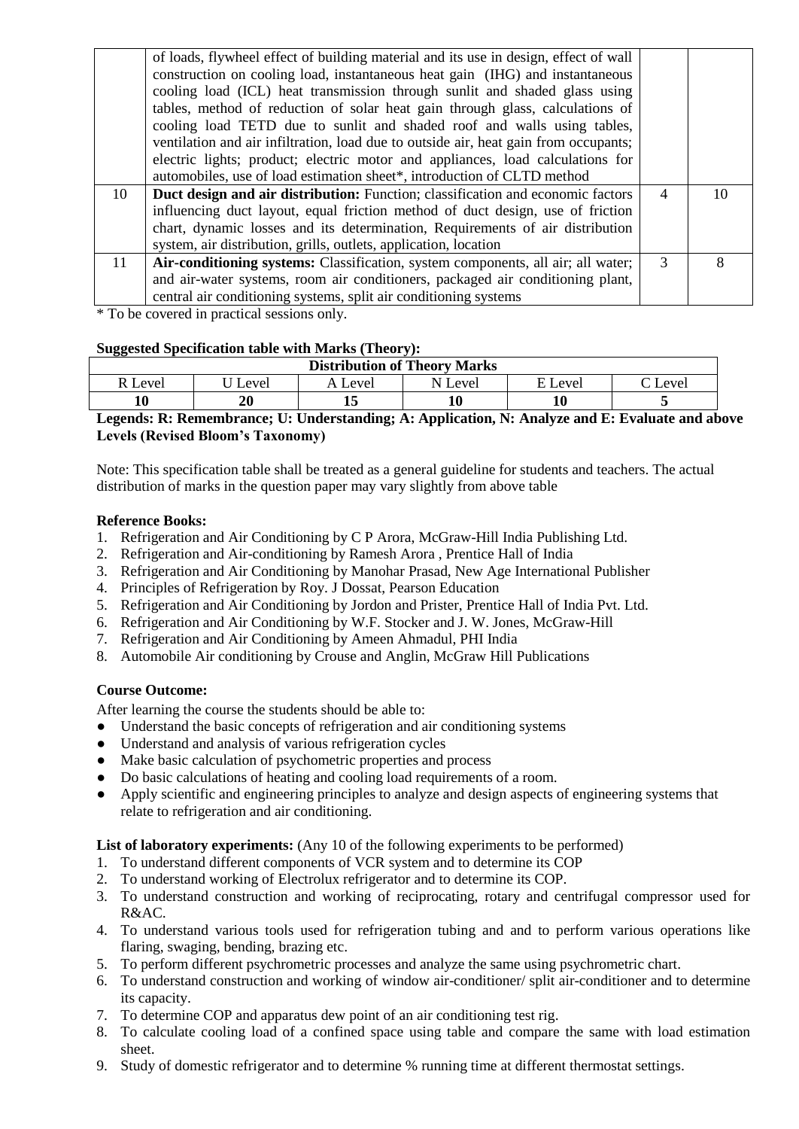|    | of loads, flywheel effect of building material and its use in design, effect of wall<br>construction on cooling load, instantaneous heat gain (IHG) and instantaneous<br>cooling load (ICL) heat transmission through sunlit and shaded glass using<br>tables, method of reduction of solar heat gain through glass, calculations of<br>cooling load TETD due to sunlit and shaded roof and walls using tables,<br>ventilation and air infiltration, load due to outside air, heat gain from occupants;<br>electric lights; product; electric motor and appliances, load calculations for<br>automobiles, use of load estimation sheet*, introduction of CLTD method |                |    |
|----|----------------------------------------------------------------------------------------------------------------------------------------------------------------------------------------------------------------------------------------------------------------------------------------------------------------------------------------------------------------------------------------------------------------------------------------------------------------------------------------------------------------------------------------------------------------------------------------------------------------------------------------------------------------------|----------------|----|
| 10 | <b>Duct design and air distribution:</b> Function; classification and economic factors                                                                                                                                                                                                                                                                                                                                                                                                                                                                                                                                                                               | $\overline{4}$ | 10 |
|    | influencing duct layout, equal friction method of duct design, use of friction<br>chart, dynamic losses and its determination, Requirements of air distribution                                                                                                                                                                                                                                                                                                                                                                                                                                                                                                      |                |    |
|    | system, air distribution, grills, outlets, application, location                                                                                                                                                                                                                                                                                                                                                                                                                                                                                                                                                                                                     |                |    |
| 11 | Air-conditioning systems: Classification, system components, all air; all water;                                                                                                                                                                                                                                                                                                                                                                                                                                                                                                                                                                                     | $\mathcal{R}$  | 8  |
|    | and air-water systems, room air conditioners, packaged air conditioning plant,                                                                                                                                                                                                                                                                                                                                                                                                                                                                                                                                                                                       |                |    |
|    | central air conditioning systems, split air conditioning systems                                                                                                                                                                                                                                                                                                                                                                                                                                                                                                                                                                                                     |                |    |
|    |                                                                                                                                                                                                                                                                                                                                                                                                                                                                                                                                                                                                                                                                      |                |    |

\* To be covered in practical sessions only.

# **Suggested Specification table with Marks (Theory):**

| $\sim$<br><b>Distribution of Theory Marks</b> |       |       |         |         |                    |  |  |
|-----------------------------------------------|-------|-------|---------|---------|--------------------|--|--|
| Level                                         | Level | evel. | N Level | E Level | $\mathcal C$ Level |  |  |
|                                               | 20    | ∸     |         |         |                    |  |  |

**Legends: R: Remembrance; U: Understanding; A: Application, N: Analyze and E: Evaluate and above Levels (Revised Bloom's Taxonomy)**

Note: This specification table shall be treated as a general guideline for students and teachers. The actual distribution of marks in the question paper may vary slightly from above table

#### **Reference Books:**

- 1. Refrigeration and Air Conditioning by C P Arora, McGraw-Hill India Publishing Ltd.
- 2. Refrigeration and Air-conditioning by Ramesh Arora , Prentice Hall of India
- 3. Refrigeration and Air Conditioning by Manohar Prasad, New Age International Publisher
- 4. Principles of Refrigeration by Roy. J Dossat, Pearson Education
- 5. Refrigeration and Air Conditioning by Jordon and Prister, Prentice Hall of India Pvt. Ltd.
- 6. Refrigeration and Air Conditioning by W.F. Stocker and J. W. Jones, McGraw-Hill
- 7. Refrigeration and Air Conditioning by Ameen Ahmadul, PHI India
- 8. Automobile Air conditioning by Crouse and Anglin, McGraw Hill Publications

# **Course Outcome:**

After learning the course the students should be able to:

- Understand the basic concepts of refrigeration and air conditioning systems
- Understand and analysis of various refrigeration cycles
- Make basic calculation of psychometric properties and process
- Do basic calculations of heating and cooling load requirements of a room.
- Apply scientific and engineering principles to analyze and design aspects of engineering systems that relate to refrigeration and air conditioning.

# List of laboratory experiments: (Any 10 of the following experiments to be performed)

- 1. To understand different components of VCR system and to determine its COP
- 2. To understand working of Electrolux refrigerator and to determine its COP.
- 3. To understand construction and working of reciprocating, rotary and centrifugal compressor used for R&AC.
- 4. To understand various tools used for refrigeration tubing and and to perform various operations like flaring, swaging, bending, brazing etc.
- 5. To perform different psychrometric processes and analyze the same using psychrometric chart.
- 6. To understand construction and working of window air-conditioner/ split air-conditioner and to determine its capacity.
- 7. To determine COP and apparatus dew point of an air conditioning test rig.
- 8. To calculate cooling load of a confined space using table and compare the same with load estimation sheet.
- 9. Study of domestic refrigerator and to determine % running time at different thermostat settings.